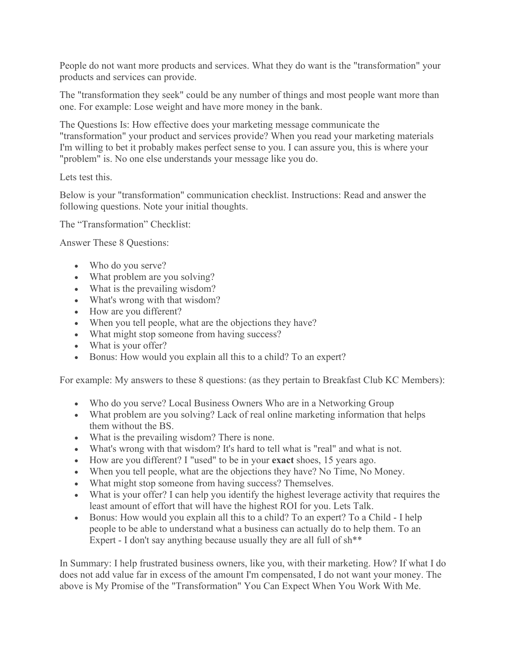People do not want more products and services. What they do want is the "transformation" your products and services can provide.

The "transformation they seek" could be any number of things and most people want more than one. For example: Lose weight and have more money in the bank.

The Questions Is: How effective does your marketing message communicate the "transformation" your product and services provide? When you read your marketing materials I'm willing to bet it probably makes perfect sense to you. I can assure you, this is where your "problem" is. No one else understands your message like you do.

Lets test this.

Below is your "transformation" communication checklist. Instructions: Read and answer the following questions. Note your initial thoughts.

The "Transformation" Checklist:

Answer These 8 Questions:

- Who do you serve?
- What problem are you solving?
- What is the prevailing wisdom?
- What's wrong with that wisdom?
- How are you different?
- When you tell people, what are the objections they have?
- What might stop someone from having success?
- What is your offer?
- Bonus: How would you explain all this to a child? To an expert?

For example: My answers to these 8 questions: (as they pertain to Breakfast Club KC Members):

- Who do you serve? Local Business Owners Who are in a Networking Group
- What problem are you solving? Lack of real online marketing information that helps them without the BS.
- What is the prevailing wisdom? There is none.
- What's wrong with that wisdom? It's hard to tell what is "real" and what is not.
- How are you different? I "used" to be in your **exact** shoes, 15 years ago.
- When you tell people, what are the objections they have? No Time, No Money.
- What might stop someone from having success? Themselves.
- What is your offer? I can help you identify the highest leverage activity that requires the least amount of effort that will have the highest ROI for you. Lets Talk.
- Bonus: How would you explain all this to a child? To an expert? To a Child I help people to be able to understand what a business can actually do to help them. To an Expert - I don't say anything because usually they are all full of sh<sup>\*\*</sup>

In Summary: I help frustrated business owners, like you, with their marketing. How? If what I do does not add value far in excess of the amount I'm compensated, I do not want your money. The above is My Promise of the "Transformation" You Can Expect When You Work With Me.